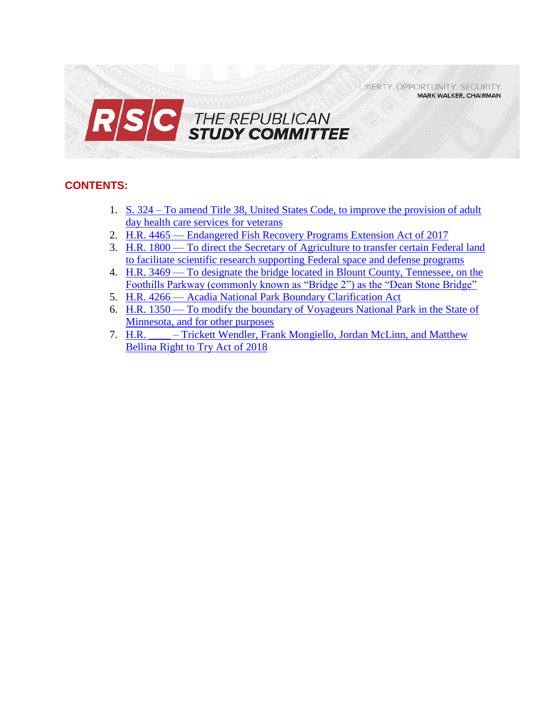LIBERTY, OPPORTUNITY, SECURITY, **MARK WALKER, CHAIRMAN** 



## **CONTENTS:**

- 1. S. 324 [To amend Title 38, United States Code, to improve the provision of adult](#page-1-0)  [day health care services for veterans](#page-1-0)
- 2. H.R. 4465 [Endangered Fish Recovery Programs Extension Act of 2017](#page-3-0)
- 3. H.R. 1800 [To direct the Secretary of Agriculture to transfer certain Federal land](#page-5-0)  [to facilitate scientific research supporting Federal space and defense programs](#page-5-0)
- 4. H.R. 3469 [To designate the bridge located in Blount County, Tennessee, on the](#page-7-0)  [Foothills Parkway \(commonly known as "Bridge 2"\) as the "Dean Stone Bridge"](#page-7-0)
- 5. H.R. 4266 [Acadia National Park Boundary Clarification Act](#page-9-0)
- 6. H.R. 1350 [To modify the boundary of Voyageurs National Park in the State of](#page-11-0)  [Minnesota, and for other purposes](#page-11-0)
- 7. H.R. Trickett Wendler, Frank Mongiello, Jordan McLinn, and Matthew [Bellina Right to Try Act of 2018](#page-13-0)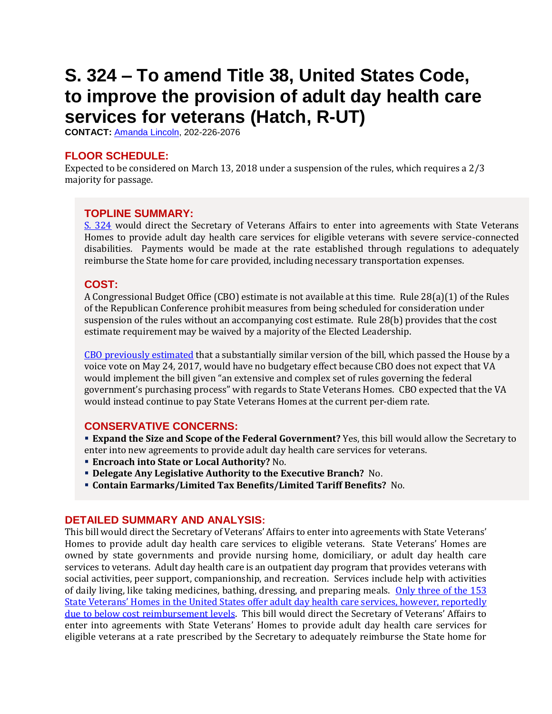# <span id="page-1-0"></span>**S. 324 – To amend Title 38, United States Code, to improve the provision of adult day health care services for veterans (Hatch, R-UT)**

**CONTACT:** [Amanda Lincoln,](mailto:amanda.lincoln@mail.house.gov) 202-226-2076

## **FLOOR SCHEDULE:**

Expected to be considered on March 13, 2018 under a suspension of the rules, which requires a 2/3 majority for passage.

### **TOPLINE SUMMARY:**

[S. 324](https://www.congress.gov/115/bills/s324/BILLS-115s324es.pdf) would direct the Secretary of Veterans Affairs to enter into agreements with State Veterans Homes to provide adult day health care services for eligible veterans with severe service-connected disabilities. Payments would be made at the rate established through regulations to adequately reimburse the State home for care provided, including necessary transportation expenses.

## **COST:**

A Congressional Budget Office (CBO) estimate is not available at this time. Rule 28(a)(1) of the Rules of the Republican Conference prohibit measures from being scheduled for consideration under suspension of the rules without an accompanying cost estimate. Rule 28(b) provides that the cost estimate requirement may be waived by a majority of the Elected Leadership.

[CBO previously estimated](https://www.cbo.gov/system/files/115th-congress-2017-2018/costestimate/hr1005.pdf) that a substantially similar version of the bill, which passed the House by a voice vote on May 24, 2017, would have no budgetary effect because CBO does not expect that VA would implement the bill given "an extensive and complex set of rules governing the federal government's purchasing process" with regards to State Veterans Homes. CBO expected that the VA would instead continue to pay State Veterans Homes at the current per-diem rate.

#### **CONSERVATIVE CONCERNS:**

 **Expand the Size and Scope of the Federal Government?** Yes, this bill would allow the Secretary to enter into new agreements to provide adult day health care services for veterans.

- **Encroach into State or Local Authority?** No.
- **Delegate Any Legislative Authority to the Executive Branch?** No.
- **Contain Earmarks/Limited Tax Benefits/Limited Tariff Benefits?** No.

#### **DETAILED SUMMARY AND ANALYSIS:**

This bill would direct the Secretary of Veterans' Affairs to enter into agreements with State Veterans' Homes to provide adult day health care services to eligible veterans. State Veterans' Homes are owned by state governments and provide nursing home, domiciliary, or adult day health care services to veterans. Adult day health care is an outpatient day program that provides veterans with social activities, peer support, companionship, and recreation. Services include help with activities of daily living, like taking medicines, bathing, dressing, and preparing meals. Only three of the 153 State Veterans' [Homes in the United States offer adult day health care services, however, reportedly](https://zeldin.house.gov/media-center/press-releases/caring-our-disabled-veterans-fight-expand-adult-day-care)  [due to below cost reimbursement levels](https://zeldin.house.gov/media-center/press-releases/caring-our-disabled-veterans-fight-expand-adult-day-care). This bill would direct the Secretary of Veterans' Affairs to enter into agreements with State Veterans' Homes to provide adult day health care services for eligible veterans at a rate prescribed by the Secretary to adequately reimburse the State home for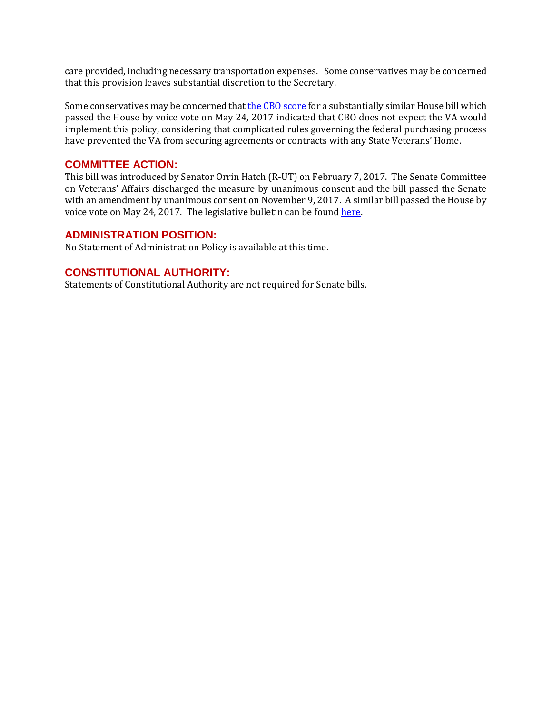care provided, including necessary transportation expenses. Some conservatives may be concerned that this provision leaves substantial discretion to the Secretary.

Some conservatives may be concerned that the [CBO score](https://www.cbo.gov/sites/default/files/114th-congress-2015-2016/costestimate/hr2460.pdf) for a substantially similar House bill which passed the House by voice vote on May 24, 2017 indicated that CBO does not expect the VA would implement this policy, considering that complicated rules governing the federal purchasing process have prevented the VA from securing agreements or contracts with any State Veterans' Home.

#### **COMMITTEE ACTION:**

This bill was introduced by Senator Orrin Hatch (R-UT) on February 7, 2017. The Senate Committee on Veterans' Affairs discharged the measure by unanimous consent and the bill passed the Senate with an amendment by unanimous consent on November 9, 2017. A similar bill passed the House by voice vote on May 24, 2017. The legislative bulletin can be foun[d here.](https://rsc-walker.house.gov/sites/republicanstudycommittee.house.gov/files/2017LB/Legislative_Bulletin_Suspensions__May_22_2017.pdf)

#### **ADMINISTRATION POSITION:**

No Statement of Administration Policy is available at this time.

#### **CONSTITUTIONAL AUTHORITY:**

Statements of Constitutional Authority are not required for Senate bills.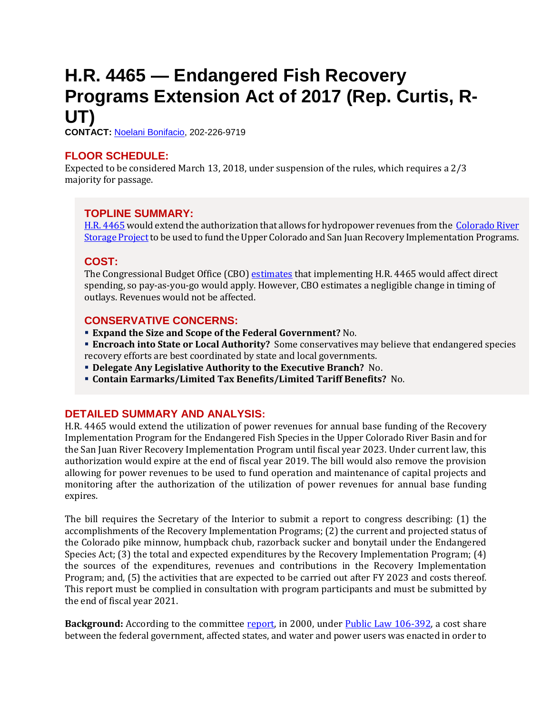# <span id="page-3-0"></span>**H.R. 4465 — Endangered Fish Recovery Programs Extension Act of 2017 (Rep. Curtis, R-UT)**

**CONTACT:** [Noelani Bonifacio,](mailto:Noelani.Bonifacio@mail.house.gov) 202-226-9719

## **FLOOR SCHEDULE:**

Expected to be considered March 13, 2018, under suspension of the rules, which requires a 2/3 majority for passage.

## **TOPLINE SUMMARY:**

[H.R. 4465](http://docs.house.gov/billsthisweek/20180312/HR4465.pdf) would extend the authorization that allows for hydropower revenues from the [Colorado River](https://www.usbr.gov/uc/rm/crsp/index.html)  [Storage Project](https://www.usbr.gov/uc/rm/crsp/index.html) to be used to fund the Upper Colorado and San Juan Recovery Implementation Programs.

## **COST:**

The Congressional Budget Office (CBO) [estimates](https://www.cbo.gov/system/files/115th-congress-2017-2018/costestimate/hr4465.pdf) that implementing H.R. 4465 would affect direct spending, so pay-as-you-go would apply. However, CBO estimates a negligible change in timing of outlays. Revenues would not be affected.

## **CONSERVATIVE CONCERNS:**

- **Expand the Size and Scope of the Federal Government?** No.
- **Encroach into State or Local Authority?** Some conservatives may believe that endangered species recovery efforts are best coordinated by state and local governments.
- **Delegate Any Legislative Authority to the Executive Branch?** No.
- **Contain Earmarks/Limited Tax Benefits/Limited Tariff Benefits?** No.

## **DETAILED SUMMARY AND ANALYSIS:**

H.R. 4465 would extend the utilization of power revenues for annual base funding of the Recovery Implementation Program for the Endangered Fish Species in the Upper Colorado River Basin and for the San Juan River Recovery Implementation Program until fiscal year 2023. Under current law, this authorization would expire at the end of fiscal year 2019. The bill would also remove the provision allowing for power revenues to be used to fund operation and maintenance of capital projects and monitoring after the authorization of the utilization of power revenues for annual base funding expires.

The bill requires the Secretary of the Interior to submit a report to congress describing: (1) the accomplishments of the Recovery Implementation Programs; (2) the current and projected status of the Colorado pike minnow, humpback chub, razorback sucker and bonytail under the Endangered Species Act; (3) the total and expected expenditures by the Recovery Implementation Program; (4) the sources of the expenditures, revenues and contributions in the Recovery Implementation Program; and, (5) the activities that are expected to be carried out after FY 2023 and costs thereof. This report must be complied in consultation with program participants and must be submitted by the end of fiscal year 2021.

**Background:** According to the committee [report,](https://www.congress.gov/115/crpt/hrpt567/CRPT-115hrpt567.pdf) in 2000, under [Public Law 106-392,](https://www.gpo.gov/fdsys/pkg/PLAW-106publ392/pdf/PLAW-106publ392.pdf) a cost share between the federal government, affected states, and water and power users was enacted in order to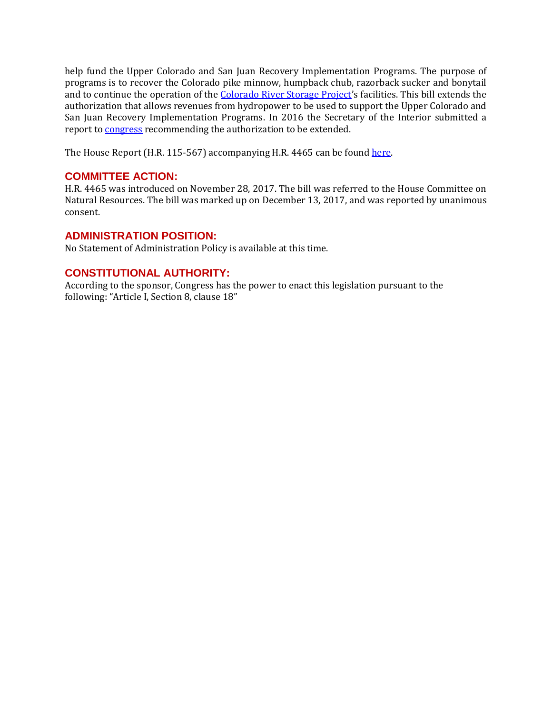help fund the Upper Colorado and San Juan Recovery Implementation Programs. The purpose of programs is to recover the Colorado pike minnow, humpback chub, razorback sucker and bonytail and to continue the operation of the [Colorado River Storage Project](https://www.usbr.gov/uc/rm/crsp/index.html)'s facilities. This bill extends the authorization that allows revenues from hydropower to be used to support the Upper Colorado and San Juan Recovery Implementation Programs. In 2016 the Secretary of the Interior submitted a report t[o congress](http://www.coloradoriverrecovery.org/documents-publications/foundational-documents/publiclaw/2016ReporttoCongress.pdf) recommending the authorization to be extended.

The House Report (H.R. 115-567) accompanying H.R. 4465 can be foun[d here.](https://www.congress.gov/115/crpt/hrpt567/CRPT-115hrpt567.pdf)

### **COMMITTEE ACTION:**

H.R. 4465 was introduced on November 28, 2017. The bill was referred to the House Committee on Natural Resources. The bill was marked up on December 13, 2017, and was reported by unanimous consent.

#### **ADMINISTRATION POSITION:**

No Statement of Administration Policy is available at this time.

### **CONSTITUTIONAL AUTHORITY:**

According to the sponsor, Congress has the power to enact this legislation pursuant to the following: "Article I, Section 8, clause 18"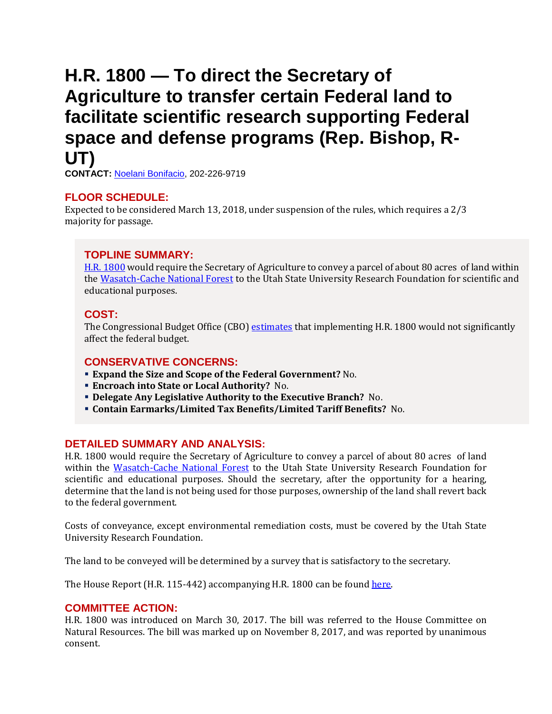## <span id="page-5-0"></span>**H.R. 1800 — To direct the Secretary of Agriculture to transfer certain Federal land to facilitate scientific research supporting Federal space and defense programs (Rep. Bishop, R-UT)**

**CONTACT:** [Noelani Bonifacio,](mailto:Noelani.Bonifacio@mail.house.gov) 202-226-9719

### **FLOOR SCHEDULE:**

Expected to be considered March 13, 2018, under suspension of the rules, which requires a 2/3 majority for passage.

#### **TOPLINE SUMMARY:**

[H.R. 1800](http://docs.house.gov/billsthisweek/20180312/HR1800.pdf) would require the Secretary of Agriculture to convey a parcel of about 80 acres of land within the [Wasatch-Cache National Forest](https://www.fs.usda.gov/uwcnf) to the Utah State University Research Foundation for scientific and educational purposes.

#### **COST:**

The Congressional Budget Office (CBO) [estimates](https://www.cbo.gov/system/files/115th-congress-2017-2018/costestimate/hr1800.pdf) that implementing H.R. 1800 would not significantly affect the federal budget.

#### **CONSERVATIVE CONCERNS:**

- **Expand the Size and Scope of the Federal Government?** No.
- **Encroach into State or Local Authority?** No.
- **Delegate Any Legislative Authority to the Executive Branch?** No.
- **Contain Earmarks/Limited Tax Benefits/Limited Tariff Benefits?** No.

#### **DETAILED SUMMARY AND ANALYSIS:**

H.R. 1800 would require the Secretary of Agriculture to convey a parcel of about 80 acres of land within the [Wasatch-Cache National Forest](https://www.fs.usda.gov/uwcnf) to the Utah State University Research Foundation for scientific and educational purposes. Should the secretary, after the opportunity for a hearing, determine that the land is not being used for those purposes, ownership of the land shall revert back to the federal government.

Costs of conveyance, except environmental remediation costs, must be covered by the Utah State University Research Foundation.

The land to be conveyed will be determined by a survey that is satisfactory to the secretary.

The House Report (H.R. 115-442) accompanying H.R. 1800 can be foun[d here.](https://www.congress.gov/115/crpt/hrpt442/CRPT-115hrpt442.pdf)

#### **COMMITTEE ACTION:**

H.R. 1800 was introduced on March 30, 2017. The bill was referred to the House Committee on Natural Resources. The bill was marked up on November 8, 2017, and was reported by unanimous consent.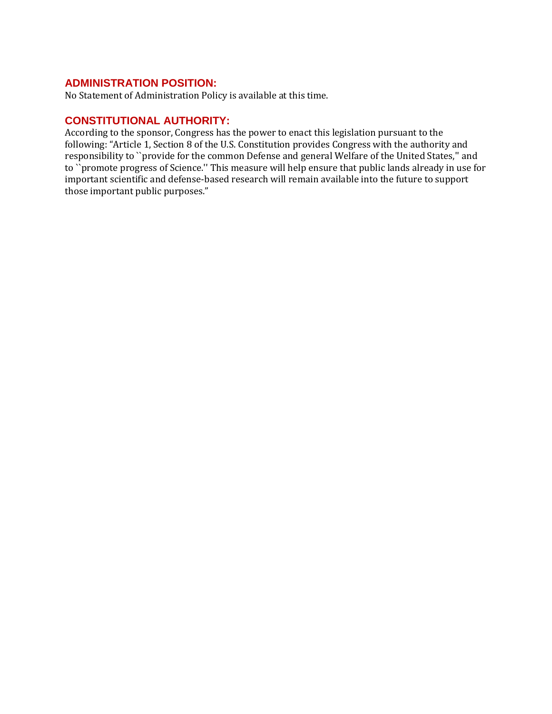#### **ADMINISTRATION POSITION:**

No Statement of Administration Policy is available at this time.

### **CONSTITUTIONAL AUTHORITY:**

According to the sponsor, Congress has the power to enact this legislation pursuant to the following: "Article 1, Section 8 of the U.S. Constitution provides Congress with the authority and responsibility to ``provide for the common Defense and general Welfare of the United States,'' and to ``promote progress of Science.'' This measure will help ensure that public lands already in use for important scientific and defense-based research will remain available into the future to support those important public purposes."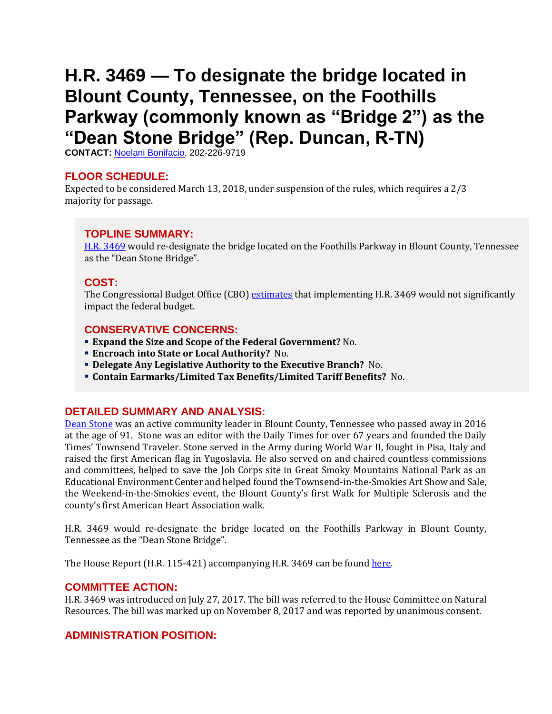# <span id="page-7-0"></span>**H.R. 3469 — To designate the bridge located in Blount County, Tennessee, on the Foothills Parkway (commonly known as "Bridge 2") as the "Dean Stone Bridge" (Rep. Duncan, R-TN)**

**CONTACT:** [Noelani Bonifacio,](mailto:Noelani.Bonifacio@mail.house.gov) 202-226-9719

#### **FLOOR SCHEDULE:**

Expected to be considered March 13, 2018, under suspension of the rules, which requires a 2/3 majority for passage.

### **TOPLINE SUMMARY:**

[H.R. 3469](http://docs.house.gov/billsthisweek/20180312/HR3469.pdf) would re-designate the bridge located on the Foothills Parkway in Blount County, Tennessee as the "Dean Stone Bridge".

## **COST:**

The Congressional Budget Office (CBO) [estimates](https://www.cbo.gov/system/files/115th-congress-2017-2018/costestimate/hr3469.pdf) that implementing H.R. 3469 would not significantly impact the federal budget.

#### **CONSERVATIVE CONCERNS:**

- **Expand the Size and Scope of the Federal Government?** No.
- **Encroach into State or Local Authority?** No.
- **Delegate Any Legislative Authority to the Executive Branch?** No.
- **Contain Earmarks/Limited Tax Benefits/Limited Tariff Benefits?** No.

#### **DETAILED SUMMARY AND ANALYSIS:**

[Dean Stone](http://www.thedailytimes.com/news/end-of-an-era-dean-stone-s-life-career-at/article_7921310e-d6cd-5a18-8f1f-245958f1f225.html) was an active community leader in Blount County, Tennessee who passed away in 2016 at the age of 91. Stone was an editor with the Daily Times for over 67 years and founded the Daily Times' Townsend Traveler. Stone served in the Army during World War II, fought in Pisa, Italy and raised the first American flag in Yugoslavia. He also served on and chaired countless commissions and committees, helped to save the Job Corps site in Great Smoky Mountains National Park as an Educational Environment Center and helped found the Townsend-in-the-Smokies Art Show and Sale, the Weekend-in-the-Smokies event, the Blount County's first Walk for Multiple Sclerosis and the county's first American Heart Association walk.

H.R. 3469 would re-designate the bridge located on the Foothills Parkway in Blount County, Tennessee as the "Dean Stone Bridge".

The House Report (H.R. 115-421) accompanying H.R. 3469 can be foun[d here.](https://www.congress.gov/115/crpt/hrpt421/CRPT-115hrpt421.pdf)

#### **COMMITTEE ACTION:**

H.R. 3469 was introduced on July 27, 2017. The bill was referred to the House Committee on Natural Resources. The bill was marked up on November 8, 2017 and was reported by unanimous consent.

#### **ADMINISTRATION POSITION:**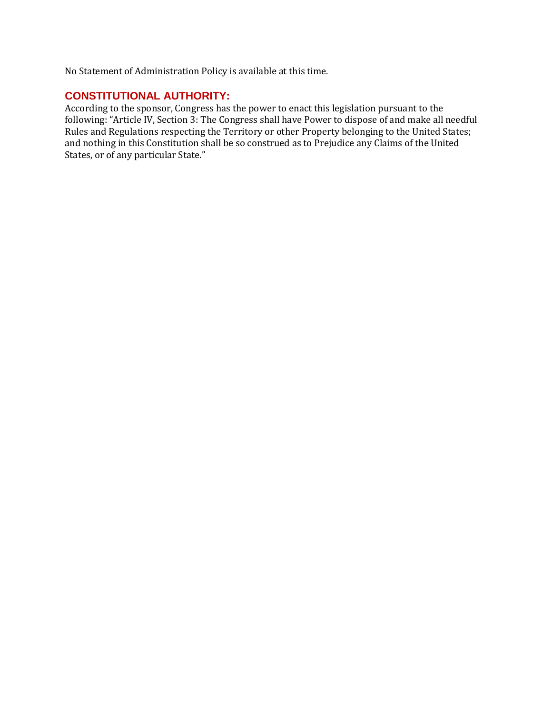No Statement of Administration Policy is available at this time.

## **CONSTITUTIONAL AUTHORITY:**

According to the sponsor, Congress has the power to enact this legislation pursuant to the following: "Article IV, Section 3: The Congress shall have Power to dispose of and make all needful Rules and Regulations respecting the Territory or other Property belonging to the United States; and nothing in this Constitution shall be so construed as to Prejudice any Claims of the United States, or of any particular State."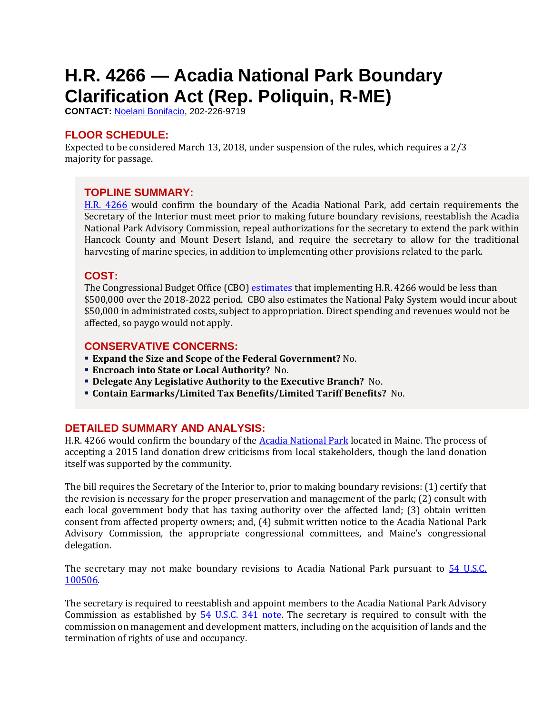# <span id="page-9-0"></span>**H.R. 4266 — Acadia National Park Boundary Clarification Act (Rep. Poliquin, R-ME)**

**CONTACT:** [Noelani Bonifacio,](mailto:Noelani.Bonifacio@mail.house.gov) 202-226-9719

## **FLOOR SCHEDULE:**

Expected to be considered March 13, 2018, under suspension of the rules, which requires a 2/3 majority for passage.

## **TOPLINE SUMMARY:**

[H.R. 4266](http://docs.house.gov/billsthisweek/20180312/HR4266.pdf) would confirm the boundary of the Acadia National Park, add certain requirements the Secretary of the Interior must meet prior to making future boundary revisions, reestablish the Acadia National Park Advisory Commission, repeal authorizations for the secretary to extend the park within Hancock County and Mount Desert Island, and require the secretary to allow for the traditional harvesting of marine species, in addition to implementing other provisions related to the park.

## **COST:**

The Congressional Budget Office (CBO) [estimates](https://www.cbo.gov/system/files/115th-congress-2017-2018/costestimate/hr4266.pdf) that implementing H.R. 4266 would be less than \$500,000 over the 2018-2022 period. CBO also estimates the National Paky System would incur about \$50,000 in administrated costs, subject to appropriation. Direct spending and revenues would not be affected, so paygo would not apply.

## **CONSERVATIVE CONCERNS:**

- **Expand the Size and Scope of the Federal Government?** No.
- **Encroach into State or Local Authority?** No.
- **Delegate Any Legislative Authority to the Executive Branch?** No.
- **Contain Earmarks/Limited Tax Benefits/Limited Tariff Benefits?** No.

## **DETAILED SUMMARY AND ANALYSIS:**

H.R. 4266 would confirm the boundary of th[e Acadia National Park](https://www.nps.gov/acad/index.htm) located in Maine. The process of accepting a 2015 land donation drew criticisms from local stakeholders, though the land donation itself was supported by the community.

The bill requires the Secretary of the Interior to, prior to making boundary revisions: (1) certify that the revision is necessary for the proper preservation and management of the park; (2) consult with each local government body that has taxing authority over the affected land; (3) obtain written consent from affected property owners; and, (4) submit written notice to the Acadia National Park Advisory Commission, the appropriate congressional committees, and Maine's congressional delegation.

The secretary may not make boundary revisions to Acadia National Park pursuant to 54 U.S.C. [100506.](http://uscode.house.gov/view.xhtml?req=(title:54%20section:100506%20edition:prelim)%20OR%20(granuleid:USC-prelim-title54-section100506)&f=treesort&edition=prelim&num=0&jumpTo=true)

The secretary is required to reestablish and appoint members to the Acadia National Park Advisory Commission as established by  $\frac{54 \text{ U.S.C. } 341 \text{ note}}{24 \text{ U.S. C. } 341 \text{ note}}$ . The secretary is required to consult with the commission on management and development matters, including on the acquisition of lands and the termination of rights of use and occupancy.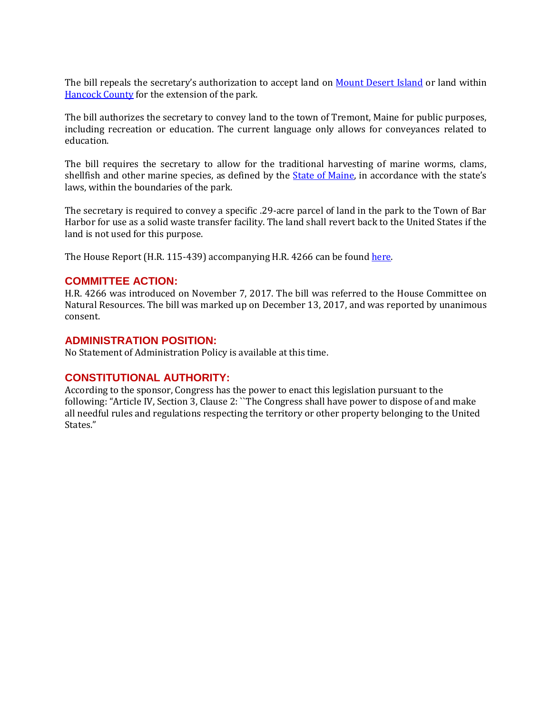The bill repeals the secretary's authorization to accept land on [Mount Desert Island](https://www.loc.gov/law/help/statutes-at-large/65th-congress/session-3/c65s3ch45.pdf) or land within [Hancock County](https://www.loc.gov/law/help/statutes-at-large/70th-congress/session-2/c70s2ch77.pdf) for the extension of the park.

The bill authorizes the secretary to convey land to the town of Tremont, Maine for public purposes, including recreation or education. The current language only allows for conveyances related to education.

The bill requires the secretary to allow for the traditional harvesting of marine worms, clams, shellfish and other marine species, as defined by the **State of Maine**, in accordance with the state's laws, within the boundaries of the park.

The secretary is required to convey a specific .29-acre parcel of land in the park to the Town of Bar Harbor for use as a solid waste transfer facility. The land shall revert back to the United States if the land is not used for this purpose.

The House Report (H.R. 115-439) accompanying H.R. 4266 can be foun[d here.](https://www.congress.gov/115/crpt/hrpt526/CRPT-115hrpt526.pdf)

#### **COMMITTEE ACTION:**

H.R. 4266 was introduced on November 7, 2017. The bill was referred to the House Committee on Natural Resources. The bill was marked up on December 13, 2017, and was reported by unanimous consent.

#### **ADMINISTRATION POSITION:**

No Statement of Administration Policy is available at this time.

#### **CONSTITUTIONAL AUTHORITY:**

According to the sponsor, Congress has the power to enact this legislation pursuant to the following: "Article IV, Section 3, Clause 2: ``The Congress shall have power to dispose of and make all needful rules and regulations respecting the territory or other property belonging to the United States."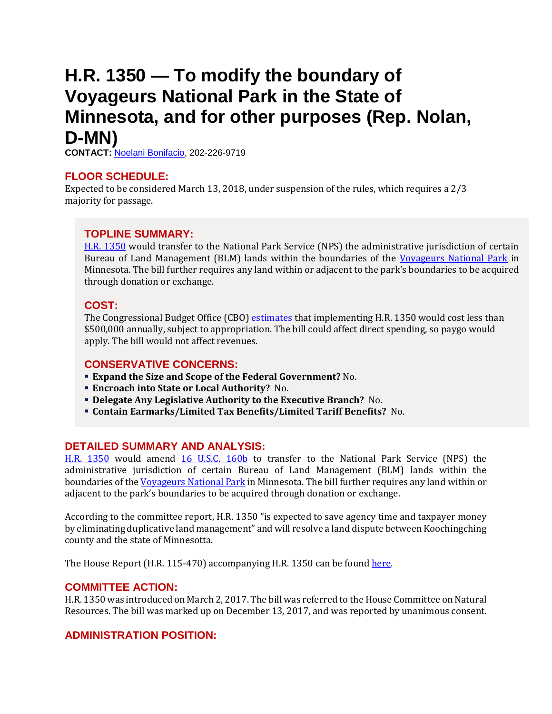## <span id="page-11-0"></span>**H.R. 1350 — To modify the boundary of Voyageurs National Park in the State of Minnesota, and for other purposes (Rep. Nolan, D-MN)**

**CONTACT:** [Noelani Bonifacio,](mailto:Noelani.Bonifacio@mail.house.gov) 202-226-9719

### **FLOOR SCHEDULE:**

Expected to be considered March 13, 2018, under suspension of the rules, which requires a 2/3 majority for passage.

## **TOPLINE SUMMARY:**

[H.R. 1350](http://docs.house.gov/billsthisweek/20180312/HR1350.pdf) would transfer to the National Park Service (NPS) the administrative jurisdiction of certain Bureau of Land Management (BLM) lands within the boundaries of the [Voyageurs National Park](https://www.nps.gov/voya/index.htm) in Minnesota. The bill further requires any land within or adjacent to the park's boundaries to be acquired through donation or exchange.

## **COST:**

The Congressional Budget Office (CBO) [estimates](https://www.cbo.gov/system/files/115th-congress-2017-2018/costestimate/hr1350.pdf) that implementing H.R. 1350 would cost less than \$500,000 annually, subject to appropriation. The bill could affect direct spending, so paygo would apply. The bill would not affect revenues.

## **CONSERVATIVE CONCERNS:**

- **Expand the Size and Scope of the Federal Government?** No.
- **Encroach into State or Local Authority?** No.
- **Delegate Any Legislative Authority to the Executive Branch?** No.
- **Contain Earmarks/Limited Tax Benefits/Limited Tariff Benefits?** No.

## **DETAILED SUMMARY AND ANALYSIS:**

[H.R. 1350](http://docs.house.gov/billsthisweek/20180312/HR1350.pdf) would amend [16 U.S.C. 160b](http://uscode.house.gov/view.xhtml?hl=false&edition=prelim&req=granuleid%3AUSC-prelim-title16-section160b&f=treesort&num=0&saved=%7CKHRpdGxlOjE2IHNlY3Rpb246MTYwYS0xIGVkaXRpb246cHJlbGltKSBPUiAoZ3JhbnVsZWlkOlVTQy1wcmVsaW0tdGl0bGUxNi1zZWN0aW9uMTYwYS0xKQ%3D%3D%7CdHJlZXNvcnQ%3D%7C%7C0%7Cfalse%7Cprelim) to transfer to the National Park Service (NPS) the administrative jurisdiction of certain Bureau of Land Management (BLM) lands within the boundaries of th[e Voyageurs National Park](https://www.nps.gov/voya/index.htm) in Minnesota. The bill further requires any land within or adjacent to the park's boundaries to be acquired through donation or exchange.

According to the committee report, H.R. 1350 "is expected to save agency time and taxpayer money by eliminating duplicative land management" and will resolve a land dispute between Koochingching county and the state of Minnesotta.

The House Report (H.R. 115-470) accompanying H.R. 1350 can be foun[d here.](https://www.congress.gov/115/crpt/hrpt470/CRPT-115hrpt470.pdf)

#### **COMMITTEE ACTION:**

H.R. 1350 was introduced on March 2, 2017. The bill was referred to the House Committee on Natural Resources. The bill was marked up on December 13, 2017, and was reported by unanimous consent.

## **ADMINISTRATION POSITION:**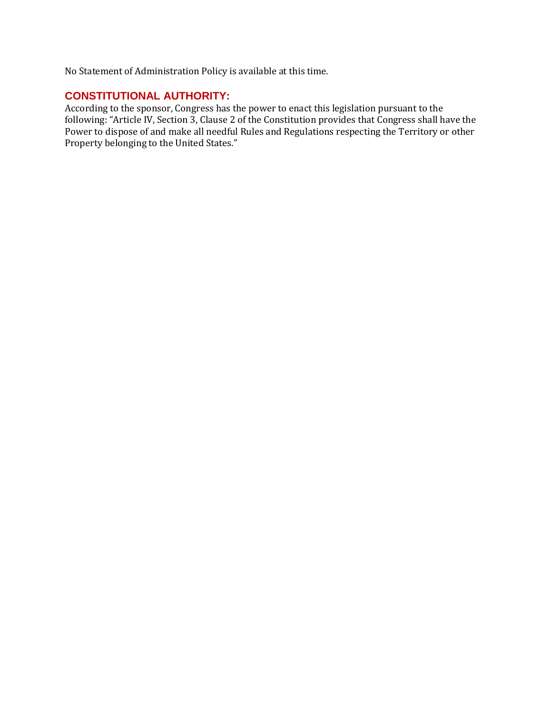No Statement of Administration Policy is available at this time.

## **CONSTITUTIONAL AUTHORITY:**

According to the sponsor, Congress has the power to enact this legislation pursuant to the following: "Article IV, Section 3, Clause 2 of the Constitution provides that Congress shall have the Power to dispose of and make all needful Rules and Regulations respecting the Territory or other Property belonging to the United States."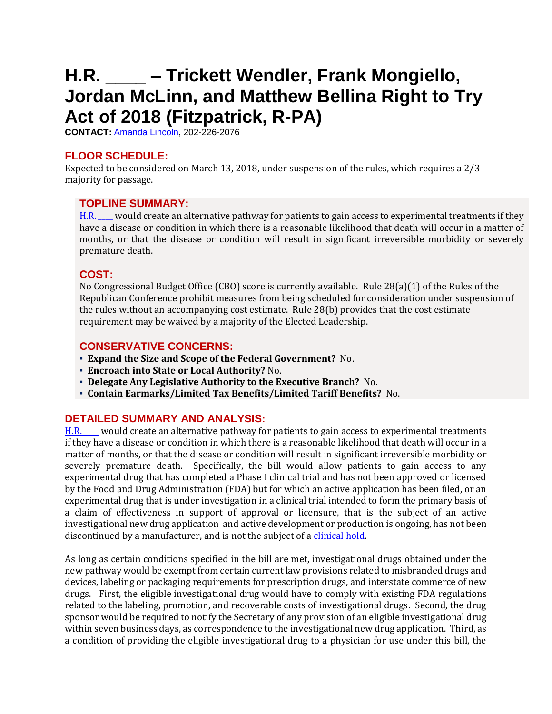# <span id="page-13-0"></span>**H.R. \_\_\_\_ – Trickett Wendler, Frank Mongiello, Jordan McLinn, and Matthew Bellina Right to Try Act of 2018 (Fitzpatrick, R-PA)**

**CONTACT:** [Amanda Lincoln,](mailto:amanda.lincoln@mail.house.gov) 202-226-2076

## **FLOOR SCHEDULE:**

Expected to be considered on March 13, 2018, under suspension of the rules, which requires a 2/3 majority for passage.

## **TOPLINE SUMMARY:**

[H.R. \\_\\_\\_\\_](http://docs.house.gov/billsthisweek/20180312/HR____.pdf) would create an alternative pathway for patients to gain access to experimental treatments if they have a disease or condition in which there is a reasonable likelihood that death will occur in a matter of months, or that the disease or condition will result in significant irreversible morbidity or severely premature death.

## **COST:**

No Congressional Budget Office (CBO) score is currently available. Rule 28(a)(1) of the Rules of the Republican Conference prohibit measures from being scheduled for consideration under suspension of the rules without an accompanying cost estimate. Rule 28(b) provides that the cost estimate requirement may be waived by a majority of the Elected Leadership.

## **CONSERVATIVE CONCERNS:**

- **Expand the Size and Scope of the Federal Government?** No.
- **Encroach into State or Local Authority?** No.
- **Delegate Any Legislative Authority to the Executive Branch?** No.
- **Contain Earmarks/Limited Tax Benefits/Limited Tariff Benefits?** No.

## **DETAILED SUMMARY AND ANALYSIS:**

[H.R. \\_\\_\\_\\_](http://docs.house.gov/billsthisweek/20180312/HR____.pdf) would create an alternative pathway for patients to gain access to experimental treatments if they have a disease or condition in which there is a reasonable likelihood that death will occur in a matter of months, or that the disease or condition will result in significant irreversible morbidity or severely premature death. Specifically, the bill would allow patients to gain access to any experimental drug that has completed a Phase I clinical trial and has not been approved or licensed by the Food and Drug Administration (FDA) but for which an active application has been filed, or an experimental drug that is under investigation in a clinical trial intended to form the primary basis of a claim of effectiveness in support of approval or licensure, that is the subject of an active investigational new drug application and active development or production is ongoing, has not been discontinued by a manufacturer, and is not the subject of a [clinical hold.](https://www.fda.gov/Drugs/DevelopmentApprovalProcess/HowDrugsareDevelopedandApproved/ApprovalApplications/InvestigationalNewDrugINDApplication/ucm362971.htm)

As long as certain conditions specified in the bill are met, investigational drugs obtained under the new pathway would be exempt from certain current law provisions related to misbranded drugs and devices, labeling or packaging requirements for prescription drugs, and interstate commerce of new drugs. First, the eligible investigational drug would have to comply with existing FDA regulations related to the labeling, promotion, and recoverable costs of investigational drugs. Second, the drug sponsor would be required to notify the Secretary of any provision of an eligible investigational drug within seven business days, as correspondence to the investigational new drug application. Third, as a condition of providing the eligible investigational drug to a physician for use under this bill, the